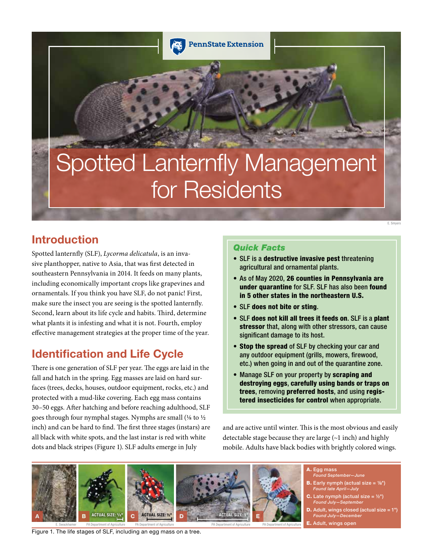

# Spotted Lanternfly Management for Residents

# Introduction

Spotted lanternfly (SLF), *Lycorma delicatula*, is an invasive planthopper, native to Asia, that was first detected in southeastern Pennsylvania in 2014. It feeds on many plants, including economically important crops like grapevines and ornamentals. If you think you have SLF, do not panic! First, make sure the insect you are seeing is the spotted lanternfly. Second, learn about its life cycle and habits. Third, determine what plants it is infesting and what it is not. Fourth, employ effective management strategies at the proper time of the year.

# Identification and Life Cycle

There is one generation of SLF per year. The eggs are laid in the fall and hatch in the spring. Egg masses are laid on hard surfaces (trees, decks, houses, outdoor equipment, rocks, etc.) and protected with a mud-like covering. Each egg mass contains 30–50 eggs. After hatching and before reaching adulthood, SLF goes through four nymphal stages. Nymphs are small (⅛ to ½ inch) and can be hard to find. The first three stages (instars) are all black with white spots, and the last instar is red with white dots and black stripes (Figure 1). SLF adults emerge in July

## *Quick Facts*

- SLF is a destructive invasive pest threatening agricultural and ornamental plants.
- As of May 2020, 26 counties in Pennsylvania are under quarantine for SLF. SLF has also been found in 5 other states in the northeastern U.S.

E. Smyers

- SLF does not bite or sting.
- SLF does not kill all trees it feeds on. SLF is a plant stressor that, along with other stressors, can cause significant damage to its host.
- Stop the spread of SLF by checking your car and any outdoor equipment (grills, mowers, firewood, etc.) when going in and out of the quarantine zone.
- Manage SLF on your property by scraping and destroying eggs, carefully using bands or traps on trees, removing preferred hosts, and using registered insecticides for control when appropriate.

and are active until winter. This is the most obvious and easily detectable stage because they are large (~1 inch) and highly mobile. Adults have black bodies with brightly colored wings.



PA Department of Agriculture PA Department of Agriculture

E. Swackhamer PA Department of Agriculture PA Department of Agriculture

Figure 1. The life stages of SLF, including an egg mass on a tree.

A. Egg mass *Found September—June*

- **B.** Early nymph (actual size =  $\frac{1}{8}$ ") *Found late April—July*
- Late nymph (actual size =  $\frac{1}{2}$ ") *Found July—September*
- $\mathsf{\mathbf{D}.}$  Adult, wings closed (actual size = 1") *Found July—December*
- E. Adult, wings open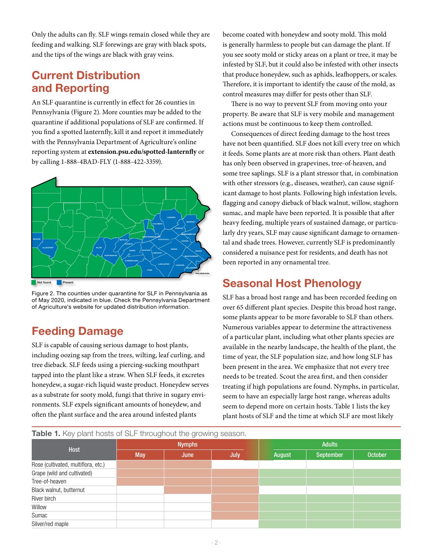Only the adults can fly. SLF wings remain closed while they are feeding and walking. SLF forewings are gray with black spots, and the tips of the wings are black with gray veins.

# Current Distribution and Reporting

An SLF quarantine is currently in effect for 26 counties in Pennsylvania (Figure 2). More counties may be added to the quarantine if additional populations of SLF are confirmed. If you find a spotted lanternfly, kill it and report it immediately with the Pennsylvania Department of Agriculture's online reporting system at **extension.psu.edu/spotted-lanternfly** or by calling 1-888-4BAD-FLY (1-888-422-3359).



Figure 2. The counties under quarantine for SLF in Pennsylvania as of May 2020, indicated in blue. Check the Pennsylvania Department of Agriculture's website for updated distribution information.

# Feeding Damage

SLF is capable of causing serious damage to host plants, including oozing sap from the trees, wilting, leaf curling, and tree dieback. SLF feeds using a piercing-sucking mouthpart tapped into the plant like a straw. When SLF feeds, it excretes honeydew, a sugar-rich liquid waste product. Honeydew serves as a substrate for sooty mold, fungi that thrive in sugary environments. SLF expels significant amounts of honeydew, and often the plant surface and the area around infested plants

become coated with honeydew and sooty mold. This mold is generally harmless to people but can damage the plant. If you see sooty mold or sticky areas on a plant or tree, it may be infested by SLF, but it could also be infested with other insects that produce honeydew, such as aphids, leafhoppers, or scales. Therefore, it is important to identify the cause of the mold, as control measures may differ for pests other than SLF.

There is no way to prevent SLF from moving onto your property. Be aware that SLF is very mobile and management actions must be continuous to keep them controlled.

Consequences of direct feeding damage to the host trees have not been quantified. SLF does not kill every tree on which it feeds. Some plants are at more risk than others. Plant death has only been observed in grapevines, tree-of-heaven, and some tree saplings. SLF is a plant stressor that, in combination with other stressors (e.g., diseases, weather), can cause significant damage to host plants. Following high infestation levels, flagging and canopy dieback of black walnut, willow, staghorn sumac, and maple have been reported. It is possible that after heavy feeding, multiple years of sustained damage, or particularly dry years, SLF may cause significant damage to ornamental and shade trees. However, currently SLF is predominantly considered a nuisance pest for residents, and death has not been reported in any ornamental tree.

# Seasonal Host Phenology

SLF has a broad host range and has been recorded feeding on over 65 different plant species. Despite this broad host range, some plants appear to be more favorable to SLF than others. Numerous variables appear to determine the attractiveness of a particular plant, including what other plants species are available in the nearby landscape, the health of the plant, the time of year, the SLF population size, and how long SLF has been present in the area. We emphasize that not every tree needs to be treated. Scout the area first, and then consider treating if high populations are found. Nymphs, in particular, seem to have an especially large host range, whereas adults seem to depend more on certain hosts. Table 1 lists the key plant hosts of SLF and the time at which SLF are most likely

Table 1. Key plant hosts of SLF throughout the growing season.

| Host                                |            | <b>Nymphs</b> |      | <b>Adults</b> |           |                |  |  |
|-------------------------------------|------------|---------------|------|---------------|-----------|----------------|--|--|
|                                     | <b>May</b> | June          | July | August        | September | <b>October</b> |  |  |
| Rose (cultivated, multiflora, etc.) |            |               |      |               |           |                |  |  |
| Grape (wild and cultivated)         |            |               |      |               |           |                |  |  |
| Tree-of-heaven                      |            |               |      |               |           |                |  |  |
| Black walnut, butternut             |            |               |      |               |           |                |  |  |
| River birch                         |            |               |      |               |           |                |  |  |
| Willow                              |            |               |      |               |           |                |  |  |
| Sumac                               |            |               |      |               |           |                |  |  |
| Silver/red maple                    |            |               |      |               |           |                |  |  |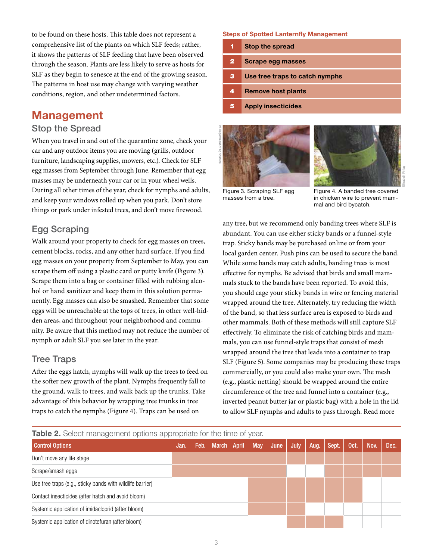to be found on these hosts. This table does not represent a comprehensive list of the plants on which SLF feeds; rather, it shows the patterns of SLF feeding that have been observed through the season. Plants are less likely to serve as hosts for SLF as they begin to senesce at the end of the growing season. The patterns in host use may change with varying weather conditions, region, and other undetermined factors.

## Management

## Stop the Spread

When you travel in and out of the quarantine zone, check your car and any outdoor items you are moving (grills, outdoor furniture, landscaping supplies, mowers, etc.). Check for SLF egg masses from September through June. Remember that egg masses may be underneath your car or in your wheel wells. During all other times of the year, check for nymphs and adults, and keep your windows rolled up when you park. Don't store things or park under infested trees, and don't move firewood.

## Egg Scraping

Walk around your property to check for egg masses on trees, cement blocks, rocks, and any other hard surface. If you find egg masses on your property from September to May, you can scrape them off using a plastic card or putty knife (Figure 3). Scrape them into a bag or container filled with rubbing alcohol or hand sanitizer and keep them in this solution permanently. Egg masses can also be smashed. Remember that some eggs will be unreachable at the tops of trees, in other well-hidden areas, and throughout your neighborhood and community. Be aware that this method may not reduce the number of nymph or adult SLF you see later in the year.

## Tree Traps

After the eggs hatch, nymphs will walk up the trees to feed on the softer new growth of the plant. Nymphs frequently fall to the ground, walk to trees, and walk back up the trunks. Take advantage of this behavior by wrapping tree trunks in tree traps to catch the nymphs (Figure 4). Traps can be used on

Steps of Spotted Lanternfly Management

| 1            | <b>Stop the spread</b>         |
|--------------|--------------------------------|
| $\mathbf{2}$ | Scrape egg masses              |
| з            | Use tree traps to catch nymphs |
| 4            | <b>Remove host plants</b>      |
|              | <b>Apply insecticides</b>      |





Figure 3. Scraping SLF egg masses from a tree.

Figure 4. A banded tree covered in chicken wire to prevent mammal and bird bycatch.

any tree, but we recommend only banding trees where SLF is abundant. You can use either sticky bands or a funnel-style trap. Sticky bands may be purchased online or from your local garden center. Push pins can be used to secure the band. While some bands may catch adults, banding trees is most effective for nymphs. Be advised that birds and small mammals stuck to the bands have been reported. To avoid this, you should cage your sticky bands in wire or fencing material wrapped around the tree. Alternately, try reducing the width of the band, so that less surface area is exposed to birds and other mammals. Both of these methods will still capture SLF effectively. To eliminate the risk of catching birds and mammals, you can use funnel-style traps that consist of mesh wrapped around the tree that leads into a container to trap SLF (Figure 5). Some companies may be producing these traps commercially, or you could also make your own. The mesh (e.g., plastic netting) should be wrapped around the entire circumference of the tree and funnel into a container (e.g., inverted peanut butter jar or plastic bag) with a hole in the lid to allow SLF nymphs and adults to pass through. Read more

| Table 2. Select management options appropriate for the time of year. |  |  |  |  |  |  |
|----------------------------------------------------------------------|--|--|--|--|--|--|
|----------------------------------------------------------------------|--|--|--|--|--|--|

| <b>Control Options</b>                                    | Jan. | Feb. | <b>March</b> | <b>April</b> | <b>May</b> | June | July, | Aug. | Sept. | Oct. | Nov. | Dec. |
|-----------------------------------------------------------|------|------|--------------|--------------|------------|------|-------|------|-------|------|------|------|
| Don't move any life stage                                 |      |      |              |              |            |      |       |      |       |      |      |      |
| Scrape/smash eggs                                         |      |      |              |              |            |      |       |      |       |      |      |      |
| Use tree traps (e.g., sticky bands with wildlife barrier) |      |      |              |              |            |      |       |      |       |      |      |      |
| Contact insecticides (after hatch and avoid bloom)        |      |      |              |              |            |      |       |      |       |      |      |      |
| Systemic application of imidacloprid (after bloom)        |      |      |              |              |            |      |       |      |       |      |      |      |
| Systemic application of dinotefuran (after bloom)         |      |      |              |              |            |      |       |      |       |      |      |      |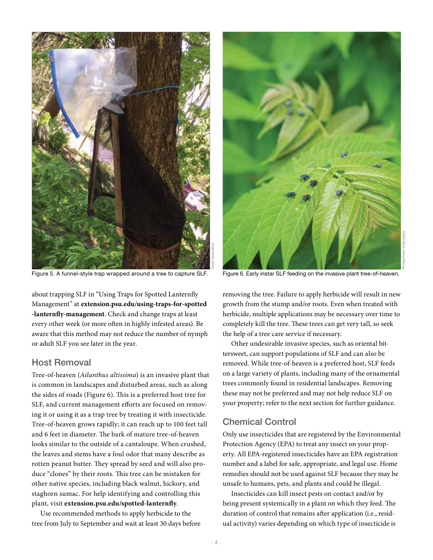

Figure 5. A funnel-style trap wrapped around a tree to capture SLF. Figure 6. Early instar SLF feeding on the invasive plant tree-of-heaven.

about trapping SLF in "Using Traps for Spotted Lanternfly Management" at **extension.psu.edu/using-traps-for-spotted -lanternfly-management**. Check and change traps at least every other week (or more often in highly infested areas). Be aware that this method may not reduce the number of nymph or adult SLF you see later in the year.

## Host Removal

Tree-of-heaven (*Ailanthus altissima*) is an invasive plant that is common in landscapes and disturbed areas, such as along the sides of roads (Figure 6). This is a preferred host tree for SLF, and current management efforts are focused on removing it or using it as a trap tree by treating it with insecticide. Tree-of-heaven grows rapidly; it can reach up to 100 feet tall and 6 feet in diameter. The bark of mature tree-of-heaven looks similar to the outside of a cantaloupe. When crushed, the leaves and stems have a foul odor that many describe as rotten peanut butter. They spread by seed and will also produce "clones" by their roots. This tree can be mistaken for other native species, including black walnut, hickory, and staghorn sumac. For help identifying and controlling this plant, visit **extension.psu.edu/spotted-lanternfly**.

Use recommended methods to apply herbicide to the tree from July to September and wait at least 30 days before



removing the tree. Failure to apply herbicide will result in new growth from the stump and/or roots. Even when treated with herbicide, multiple applications may be necessary over time to completely kill the tree. These trees can get very tall, so seek the help of a tree care service if necessary.

Other undesirable invasive species, such as oriental bittersweet, can support populations of SLF and can also be removed. While tree-of-heaven is a preferred host, SLF feeds on a large variety of plants, including many of the ornamental trees commonly found in residential landscapes. Removing these may not be preferred and may not help reduce SLF on your property; refer to the next section for further guidance.

#### Chemical Control

Only use insecticides that are registered by the Environmental Protection Agency (EPA) to treat any insect on your property. All EPA-registered insecticides have an EPA registration number and a label for safe, appropriate, and legal use. Home remedies should not be used against SLF because they may be unsafe to humans, pets, and plants and could be illegal.

Insecticides can kill insect pests on contact and/or by being present systemically in a plant on which they feed. The duration of control that remains after application (i.e., residual activity) varies depending on which type of insecticide is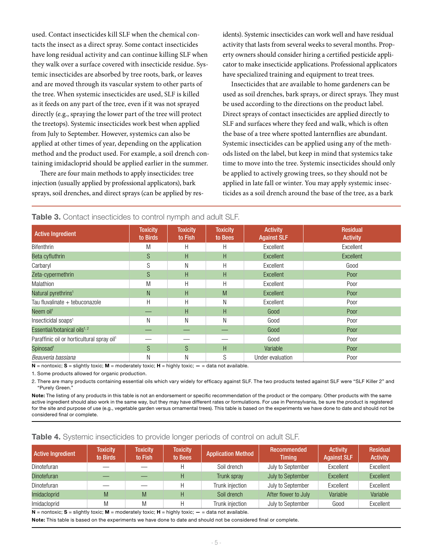used. Contact insecticides kill SLF when the chemical contacts the insect as a direct spray. Some contact insecticides have long residual activity and can continue killing SLF when they walk over a surface covered with insecticide residue. Systemic insecticides are absorbed by tree roots, bark, or leaves and are moved through its vascular system to other parts of the tree. When systemic insecticides are used, SLF is killed as it feeds on any part of the tree, even if it was not sprayed directly (e.g., spraying the lower part of the tree will protect the treetops). Systemic insecticides work best when applied from July to September. However, systemics can also be applied at other times of year, depending on the application method and the product used. For example, a soil drench containing imidacloprid should be applied earlier in the summer.

There are four main methods to apply insecticides: tree injection (usually applied by professional applicators), bark sprays, soil drenches, and direct sprays (can be applied by residents). Systemic insecticides can work well and have residual activity that lasts from several weeks to several months. Property owners should consider hiring a certified pesticide applicator to make insecticide applications. Professional applicators have specialized training and equipment to treat trees.

Insecticides that are available to home gardeners can be used as soil drenches, bark sprays, or direct sprays. They must be used according to the directions on the product label. Direct sprays of contact insecticides are applied directly to SLF and surfaces where they feed and walk, which is often the base of a tree where spotted lanternflies are abundant. Systemic insecticides can be applied using any of the methods listed on the label, but keep in mind that systemics take time to move into the tree. Systemic insecticides should only be applied to actively growing trees, so they should not be applied in late fall or winter. You may apply systemic insecticides as a soil drench around the base of the tree, as a bark

| <b>Active Ingredient</b>                               | <b>Toxicity</b><br>to Birds | <b>Toxicity</b><br>to Fish | <b>Toxicity</b><br>to Bees | <b>Activity</b><br><b>Against SLF</b> | <b>Residual</b><br><b>Activity</b> |
|--------------------------------------------------------|-----------------------------|----------------------------|----------------------------|---------------------------------------|------------------------------------|
| Bifenthrin                                             | M                           | Н                          | Н                          | Excellent                             | Excellent                          |
| Beta cyfluthrin                                        | S                           | H                          | H                          | <b>Excellent</b>                      | Excellent                          |
| Carbaryl                                               | S                           | N                          | Н                          | Excellent                             | Good                               |
| Zeta-cypermethrin                                      | S                           | H                          | H                          | <b>Excellent</b>                      | Poor                               |
| <b>Malathion</b>                                       | M                           | Η                          | Н                          | Excellent                             | Poor                               |
| Natural pyrethrins <sup>1</sup>                        | N                           | H                          | M                          | Excellent                             | Poor                               |
| Tau fluvalinate + tebuconazole                         | H                           | H                          | Ν                          | Excellent                             | Poor                               |
| Neem oil <sup>1</sup>                                  |                             | H                          | H                          | Good                                  | Poor                               |
| Insecticidal soaps <sup>1</sup>                        | Ν                           | Ν                          | Ν                          | Good                                  | Poor                               |
| Essential/botanical oils <sup>1, 2</sup>               |                             |                            |                            | Good                                  | Poor                               |
| Paraffinic oil or horticultural spray oil <sup>1</sup> |                             |                            |                            | Good                                  | Poor                               |
| Spinosad <sup>1</sup>                                  | S                           | S                          | H                          | Variable                              | Poor                               |
| Beauveria bassiana                                     | N                           | Ν                          | S                          | Under evaluation                      | Poor                               |

#### Table 3. Contact insecticides to control nymph and adult SLE.

 $N =$  nontoxic; S = slightly toxic; M = moderately toxic; H = highly toxic;  $-$  = data not available.

1. Some products allowed for organic production.

2. There are many products containing essential oils which vary widely for efficacy against SLF. The two products tested against SLF were "SLF Killer 2" and "Purely Green."

Note: The listing of any products in this table is not an endorsement or specific recommendation of the product or the company. Other products with the same active ingredient should also work in the same way, but they may have different rates or formulations. For use in Pennsylvania, be sure the product is registered for the site and purpose of use (e.g., vegetable garden versus ornamental trees). This table is based on the experiments we have done to date and should not be considered final or complete.

#### Table 4. Systemic insecticides to provide longer periods of control on adult SLF.

| <b>Active Ingredient</b> | <b>Toxicity</b><br>to Birds | <b>Toxicity</b><br>to Fish | <b>Toxicity</b><br>to Bees | <b>Application Method</b> | Recommended<br><b>Timing</b> | <b>Activity</b><br><b>Against SLF</b> | <b>Residual</b><br><b>Activity</b> |  |
|--------------------------|-----------------------------|----------------------------|----------------------------|---------------------------|------------------------------|---------------------------------------|------------------------------------|--|
| Dinotefuran              |                             |                            | Н                          | Soil drench               | July to September            | Excellent                             | Excellent                          |  |
| <b>Dinotefuran</b>       |                             |                            | н                          | Trunk spray               | July to September            | Excellent                             | Excellent                          |  |
| Dinotefuran              |                             |                            | H                          | Trunk injection           | July to September            | Excellent                             | Excellent                          |  |
| Imidacloprid             | M                           | M                          | Н                          | Soil drench               | After flower to July         | Variable                              | Variable                           |  |
| Imidacloprid             | M                           | M                          | Н                          | Trunk injection           | July to September            | Good                                  | Excellent                          |  |

 $N =$  nontoxic;  $S =$  slightly toxic;  $M =$  moderately toxic;  $H =$  highly toxic;  $-$  = data not available.

Note: This table is based on the experiments we have done to date and should not be considered final or complete.